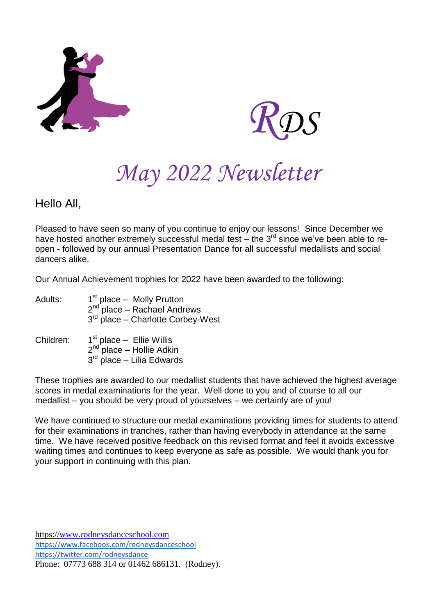



# *May 2022 Newsletter*

# Hello All,

Pleased to have seen so many of you continue to enjoy our lessons! Since December we have hosted another extremely successful medal test – the  $3^{rd}$  since we've been able to reopen - followed by our annual Presentation Dance for all successful medallists and social dancers alike.

Our Annual Achievement trophies for 2022 have been awarded to the following:

| Adults: | 1 <sup>st</sup> place – Molly Prutton         |
|---------|-----------------------------------------------|
|         | $2^{nd}$ place – Rachael Andrews              |
|         | 3 <sup>rd</sup> place - Charlotte Corbey-West |

#### Children: <sup>st</sup> place – Ellie Willis 2<sup>nd p</sup>lace – Hollie Adkin 3<sup>rd</sup> place – Lilia Edwards

These trophies are awarded to our medallist students that have achieved the highest average scores in medal examinations for the year. Well done to you and of course to all our medallist – you should be very proud of yourselves – we certainly are of you!

We have continued to structure our medal examinations providing times for students to attend for their examinations in tranches, rather than having everybody in attendance at the same time. We have received positive feedback on this revised format and feel it avoids excessive waiting times and continues to keep everyone as safe as possible. We would thank you for your support in continuing with this plan.

https://www.rodneysdanceschool.com https://www.facebook.com/rodneysdanceschool https://twitter.com/rodneysdance Phone: 07773 688 314 or 01462 686131. (Rodney).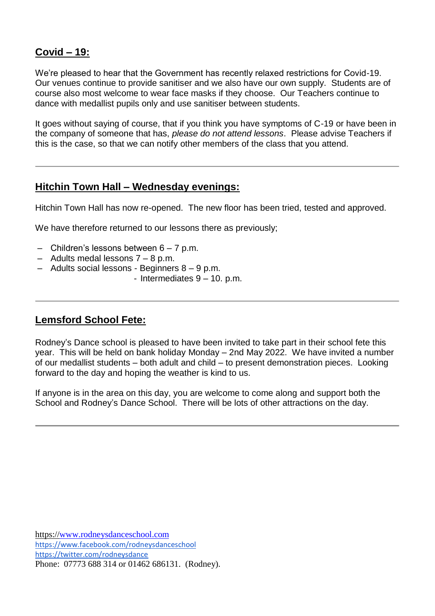## **Covid – 19:**

We're pleased to hear that the Government has recently relaxed restrictions for Covid-19. Our venues continue to provide sanitiser and we also have our own supply. Students are of course also most welcome to wear face masks if they choose. Our Teachers continue to dance with medallist pupils only and use sanitiser between students.

It goes without saying of course, that if you think you have symptoms of C-19 or have been in the company of someone that has, *please do not attend lessons*. Please advise Teachers if this is the case, so that we can notify other members of the class that you attend.

#### **Hitchin Town Hall – Wednesday evenings:**

Hitchin Town Hall has now re-opened. The new floor has been tried, tested and approved.

We have therefore returned to our lessons there as previously;

- $-$  Children's lessons between  $6 7$  p.m.
- Adults medal lessons 7 8 p.m.
- Adults social lessons Beginners 8 9 p.m.
	- Intermediates 9 10. p.m.

#### **Lemsford School Fete:**

Rodney's Dance school is pleased to have been invited to take part in their school fete this year. This will be held on bank holiday Monday – 2nd May 2022. We have invited a number of our medallist students – both adult and child – to present demonstration pieces. Looking forward to the day and hoping the weather is kind to us.

If anyone is in the area on this day, you are welcome to come along and support both the School and Rodney's Dance School. There will be lots of other attractions on the day.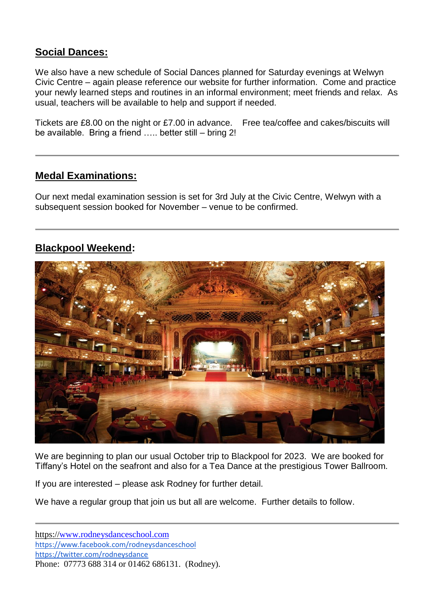## **Social Dances:**

We also have a new schedule of Social Dances planned for Saturday evenings at Welwyn Civic Centre – again please reference our website for further information. Come and practice your newly learned steps and routines in an informal environment; meet friends and relax. As usual, teachers will be available to help and support if needed.

Tickets are £8.00 on the night or £7.00 in advance. Free tea/coffee and cakes/biscuits will be available. Bring a friend ….. better still – bring 2!

#### **Medal Examinations:**

Our next medal examination session is set for 3rd July at the Civic Centre, Welwyn with a subsequent session booked for November – venue to be confirmed.

## **Blackpool Weekend:**



We are beginning to plan our usual October trip to Blackpool for 2023. We are booked for Tiffany's Hotel on the seafront and also for a Tea Dance at the prestigious Tower Ballroom.

If you are interested – please ask Rodney for further detail.

We have a regular group that join us but all are welcome. Further details to follow.

https://www.rodneysdanceschool.com https://www.facebook.com/rodneysdanceschool https://twitter.com/rodneysdance Phone: 07773 688 314 or 01462 686131. (Rodney).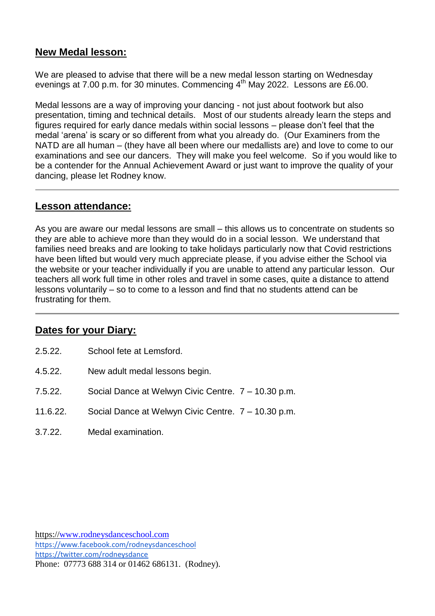#### **New Medal lesson:**

We are pleased to advise that there will be a new medal lesson starting on Wednesday evenings at 7.00 p.m. for 30 minutes. Commencing 4<sup>th</sup> May 2022. Lessons are £6.00.

Medal lessons are a way of improving your dancing - not just about footwork but also presentation, timing and technical details. Most of our students already learn the steps and figures required for early dance medals within social lessons – please don't feel that the medal 'arena' is scary or so different from what you already do. (Our Examiners from the NATD are all human – (they have all been where our medallists are) and love to come to our examinations and see our dancers. They will make you feel welcome. So if you would like to be a contender for the Annual Achievement Award or just want to improve the quality of your dancing, please let Rodney know.

#### **Lesson attendance:**

As you are aware our medal lessons are small – this allows us to concentrate on students so they are able to achieve more than they would do in a social lesson. We understand that families need breaks and are looking to take holidays particularly now that Covid restrictions have been lifted but would very much appreciate please, if you advise either the School via the website or your teacher individually if you are unable to attend any particular lesson. Our teachers all work full time in other roles and travel in some cases, quite a distance to attend lessons voluntarily – so to come to a lesson and find that no students attend can be frustrating for them.

## **Dates for your Diary:**

- 2.5.22. School fete at Lemsford.
- 4.5.22. New adult medal lessons begin.
- 7.5.22. Social Dance at Welwyn Civic Centre. 7 10.30 p.m.
- 11.6.22. Social Dance at Welwyn Civic Centre. 7 10.30 p.m.
- 3.7.22. Medal examination.